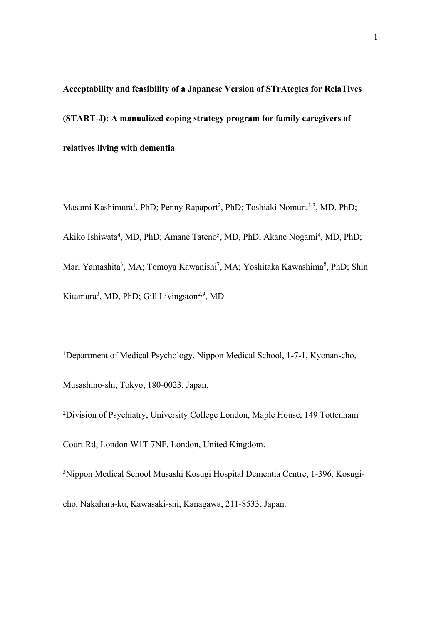**Acceptability and feasibility of a Japanese Version of STrAtegies for RelaTives (START-J): A manualized coping strategy program for family caregivers of relatives living with dementia**

Masami Kashimura<sup>1</sup>, PhD; Penny Rapaport<sup>2</sup>, PhD; Toshiaki Nomura<sup>1,3</sup>, MD, PhD; Akiko Ishiwata<sup>4</sup>, MD, PhD; Amane Tateno<sup>5</sup>, MD, PhD; Akane Nogami<sup>4</sup>, MD, PhD; Mari Yamashita<sup>6</sup>, MA; Tomoya Kawanishi<sup>7</sup>, MA; Yoshitaka Kawashima<sup>8</sup>, PhD; Shin Kitamura<sup>3</sup>, MD, PhD; Gill Livingston<sup>2,9</sup>, MD

<sup>1</sup>Department of Medical Psychology, Nippon Medical School, 1-7-1, Kyonan-cho, Musashino-shi, Tokyo, 180-0023, Japan.

<sup>2</sup>Division of Psychiatry, University College London, Maple House, 149 Tottenham Court Rd, London W1T 7NF, London, United Kingdom.

3 Nippon Medical School Musashi Kosugi Hospital Dementia Centre, 1-396, Kosugicho, Nakahara-ku, Kawasaki-shi, Kanagawa, 211-8533, Japan.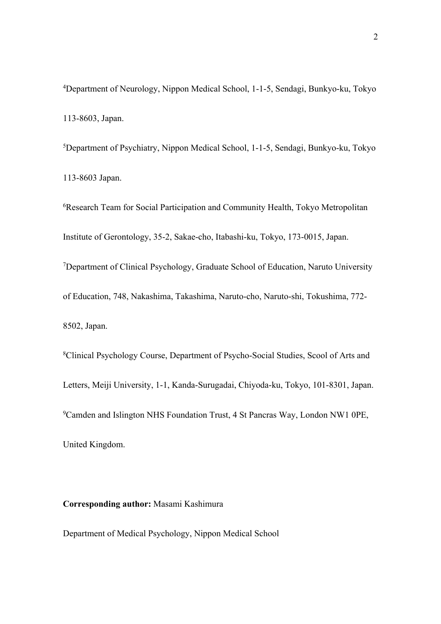4 Department of Neurology, Nippon Medical School, 1-1-5, Sendagi, Bunkyo-ku, Tokyo 113-8603, Japan.

5 Department of Psychiatry, Nippon Medical School, 1-1-5, Sendagi, Bunkyo-ku, Tokyo 113-8603 Japan.

6 Research Team for Social Participation and Community Health, Tokyo Metropolitan Institute of Gerontology, 35-2, Sakae-cho, Itabashi-ku, Tokyo, 173-0015, Japan. <sup>7</sup>Department of Clinical Psychology, Graduate School of Education, Naruto University of Education, 748, Nakashima, Takashima, Naruto-cho, Naruto-shi, Tokushima, 772- 8502, Japan.

8 Clinical Psychology Course, Department of Psycho-Social Studies, Scool of Arts and Letters, Meiji University, 1-1, Kanda-Surugadai, Chiyoda-ku, Tokyo, 101-8301, Japan. <sup>9</sup>Camden and Islington NHS Foundation Trust, 4 St Pancras Way, London NW1 0PE, United Kingdom.

# **Corresponding author:** Masami Kashimura

Department of Medical Psychology, Nippon Medical School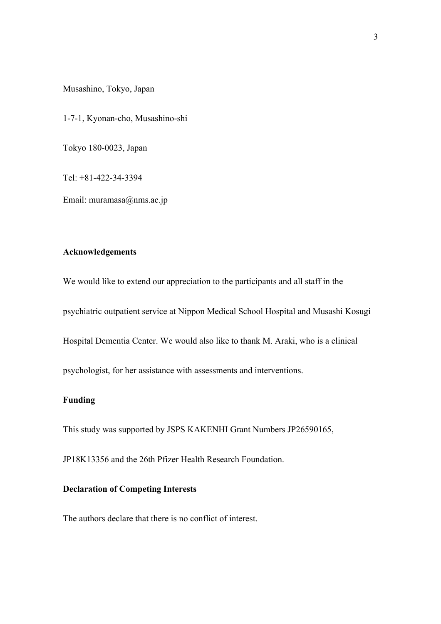Musashino, Tokyo, Japan

1-7-1, Kyonan-cho, Musashino-shi

Tokyo 180-0023, Japan

Tel: +81-422-34-3394

Email: muramasa@nms.ac.jp

# **Acknowledgements**

We would like to extend our appreciation to the participants and all staff in the

psychiatric outpatient service at Nippon Medical School Hospital and Musashi Kosugi

Hospital Dementia Center. We would also like to thank M. Araki, who is a clinical

psychologist, for her assistance with assessments and interventions.

# **Funding**

This study was supported by JSPS KAKENHI Grant Numbers JP26590165,

JP18K13356 and the 26th Pfizer Health Research Foundation.

#### **Declaration of Competing Interests**

The authors declare that there is no conflict of interest.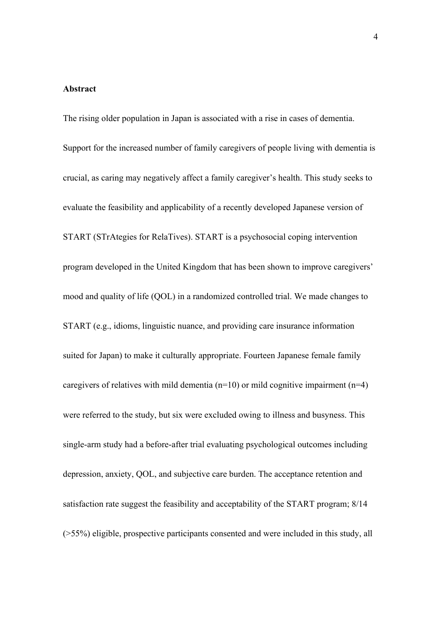# **Abstract**

The rising older population in Japan is associated with a rise in cases of dementia. Support for the increased number of family caregivers of people living with dementia is crucial, as caring may negatively affect a family caregiver's health. This study seeks to evaluate the feasibility and applicability of a recently developed Japanese version of START (STrAtegies for RelaTives). START is a psychosocial coping intervention program developed in the United Kingdom that has been shown to improve caregivers' mood and quality of life (QOL) in a randomized controlled trial. We made changes to START (e.g., idioms, linguistic nuance, and providing care insurance information suited for Japan) to make it culturally appropriate. Fourteen Japanese female family caregivers of relatives with mild dementia ( $n=10$ ) or mild cognitive impairment ( $n=4$ ) were referred to the study, but six were excluded owing to illness and busyness. This single-arm study had a before-after trial evaluating psychological outcomes including depression, anxiety, QOL, and subjective care burden. The acceptance retention and satisfaction rate suggest the feasibility and acceptability of the START program; 8/14 (>55%) eligible, prospective participants consented and were included in this study, all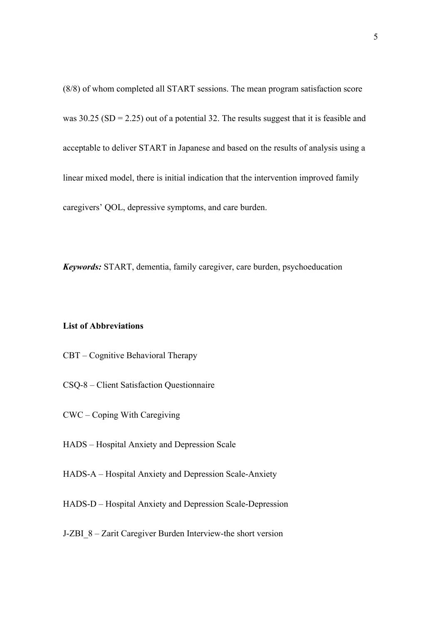(8/8) of whom completed all START sessions. The mean program satisfaction score was  $30.25$  (SD = 2.25) out of a potential 32. The results suggest that it is feasible and acceptable to deliver START in Japanese and based on the results of analysis using a linear mixed model, there is initial indication that the intervention improved family caregivers' QOL, depressive symptoms, and care burden.

*Keywords:* START, dementia, family caregiver, care burden, psychoeducation

## **List of Abbreviations**

- CBT Cognitive Behavioral Therapy
- CSQ-8 Client Satisfaction Questionnaire
- CWC Coping With Caregiving
- HADS Hospital Anxiety and Depression Scale
- HADS-A Hospital Anxiety and Depression Scale-Anxiety
- HADS-D Hospital Anxiety and Depression Scale-Depression
- J-ZBI\_8 Zarit Caregiver Burden Interview-the short version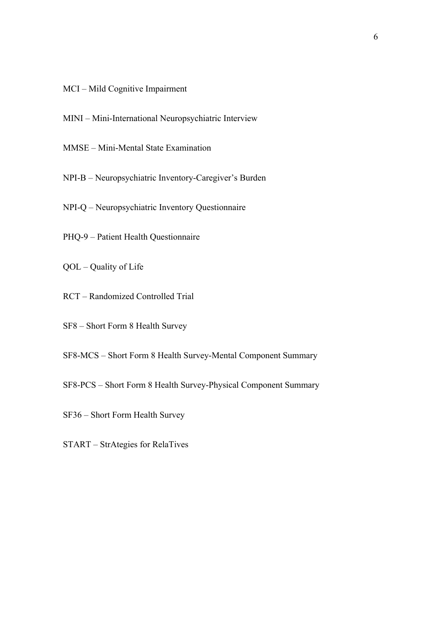- MCI Mild Cognitive Impairment
- MINI Mini-International Neuropsychiatric Interview
- MMSE Mini-Mental State Examination
- NPI-B Neuropsychiatric Inventory-Caregiver's Burden
- NPI-Q Neuropsychiatric Inventory Questionnaire
- PHQ-9 Patient Health Questionnaire
- QOL Quality of Life
- RCT Randomized Controlled Trial
- SF8 Short Form 8 Health Survey
- SF8-MCS Short Form 8 Health Survey-Mental Component Summary
- SF8-PCS Short Form 8 Health Survey-Physical Component Summary
- SF36 Short Form Health Survey
- START StrAtegies for RelaTives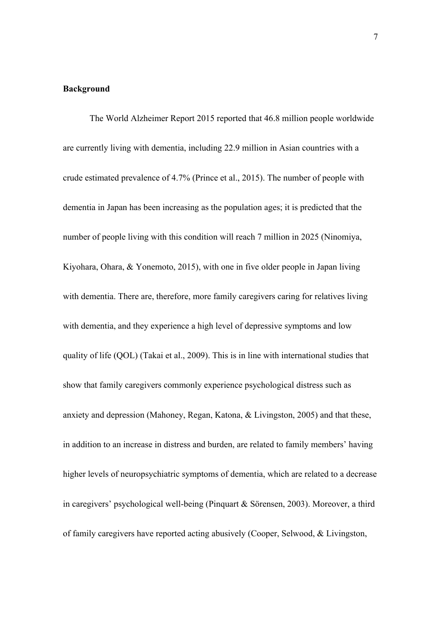## **Background**

The World Alzheimer Report 2015 reported that 46.8 million people worldwide are currently living with dementia, including 22.9 million in Asian countries with a crude estimated prevalence of 4.7% (Prince et al., 2015). The number of people with dementia in Japan has been increasing as the population ages; it is predicted that the number of people living with this condition will reach 7 million in 2025 (Ninomiya, Kiyohara, Ohara, & Yonemoto, 2015), with one in five older people in Japan living with dementia. There are, therefore, more family caregivers caring for relatives living with dementia, and they experience a high level of depressive symptoms and low quality of life (QOL) (Takai et al., 2009). This is in line with international studies that show that family caregivers commonly experience psychological distress such as anxiety and depression (Mahoney, Regan, Katona, & Livingston, 2005) and that these, in addition to an increase in distress and burden, are related to family members' having higher levels of neuropsychiatric symptoms of dementia, which are related to a decrease in caregivers' psychological well-being (Pinquart & Sörensen, 2003). Moreover, a third of family caregivers have reported acting abusively (Cooper, Selwood, & Livingston,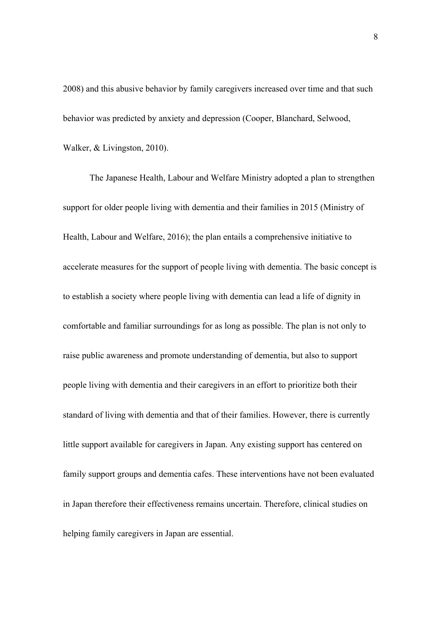2008) and this abusive behavior by family caregivers increased over time and that such behavior was predicted by anxiety and depression (Cooper, Blanchard, Selwood, Walker, & Livingston, 2010).

The Japanese Health, Labour and Welfare Ministry adopted a plan to strengthen support for older people living with dementia and their families in 2015 (Ministry of Health, Labour and Welfare, 2016); the plan entails a comprehensive initiative to accelerate measures for the support of people living with dementia. The basic concept is to establish a society where people living with dementia can lead a life of dignity in comfortable and familiar surroundings for as long as possible. The plan is not only to raise public awareness and promote understanding of dementia, but also to support people living with dementia and their caregivers in an effort to prioritize both their standard of living with dementia and that of their families. However, there is currently little support available for caregivers in Japan. Any existing support has centered on family support groups and dementia cafes. These interventions have not been evaluated in Japan therefore their effectiveness remains uncertain. Therefore, clinical studies on helping family caregivers in Japan are essential.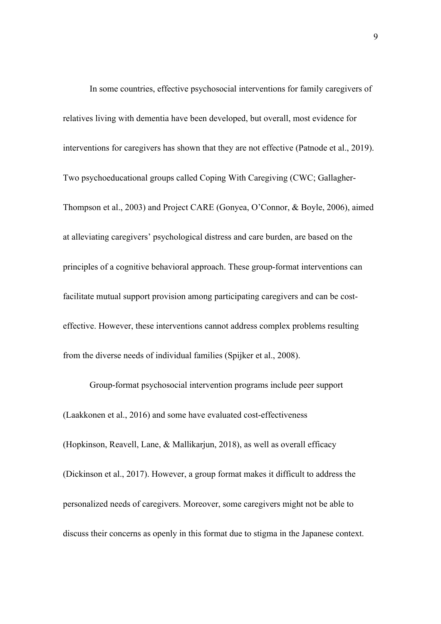In some countries, effective psychosocial interventions for family caregivers of relatives living with dementia have been developed, but overall, most evidence for interventions for caregivers has shown that they are not effective (Patnode et al., 2019). Two psychoeducational groups called Coping With Caregiving (CWC; Gallagher-Thompson et al., 2003) and Project CARE (Gonyea, O'Connor, & Boyle, 2006), aimed at alleviating caregivers' psychological distress and care burden, are based on the principles of a cognitive behavioral approach. These group-format interventions can facilitate mutual support provision among participating caregivers and can be costeffective. However, these interventions cannot address complex problems resulting from the diverse needs of individual families (Spijker et al., 2008).

Group-format psychosocial intervention programs include peer support (Laakkonen et al., 2016) and some have evaluated cost-effectiveness (Hopkinson, Reavell, Lane, & Mallikarjun, 2018), as well as overall efficacy (Dickinson et al., 2017). However, a group format makes it difficult to address the personalized needs of caregivers. Moreover, some caregivers might not be able to discuss their concerns as openly in this format due to stigma in the Japanese context.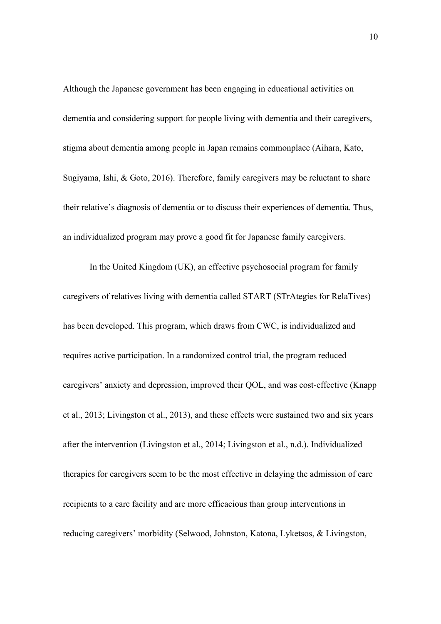Although the Japanese government has been engaging in educational activities on dementia and considering support for people living with dementia and their caregivers, stigma about dementia among people in Japan remains commonplace (Aihara, Kato, Sugiyama, Ishi, & Goto, 2016). Therefore, family caregivers may be reluctant to share their relative's diagnosis of dementia or to discuss their experiences of dementia. Thus, an individualized program may prove a good fit for Japanese family caregivers.

In the United Kingdom (UK), an effective psychosocial program for family caregivers of relatives living with dementia called START (STrAtegies for RelaTives) has been developed. This program, which draws from CWC, is individualized and requires active participation. In a randomized control trial, the program reduced caregivers' anxiety and depression, improved their QOL, and was cost-effective (Knapp et al., 2013; Livingston et al., 2013), and these effects were sustained two and six years after the intervention (Livingston et al., 2014; Livingston et al., n.d.). Individualized therapies for caregivers seem to be the most effective in delaying the admission of care recipients to a care facility and are more efficacious than group interventions in reducing caregivers' morbidity (Selwood, Johnston, Katona, Lyketsos, & Livingston,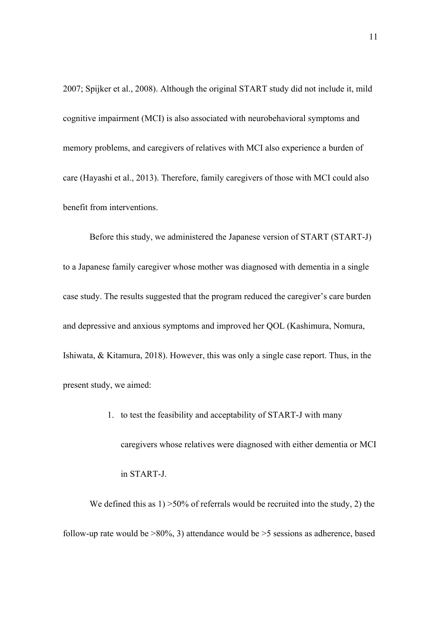2007; Spijker et al., 2008). Although the original START study did not include it, mild cognitive impairment (MCI) is also associated with neurobehavioral symptoms and memory problems, and caregivers of relatives with MCI also experience a burden of care (Hayashi et al., 2013). Therefore, family caregivers of those with MCI could also benefit from interventions.

Before this study, we administered the Japanese version of START (START-J) to a Japanese family caregiver whose mother was diagnosed with dementia in a single case study. The results suggested that the program reduced the caregiver's care burden and depressive and anxious symptoms and improved her QOL (Kashimura, Nomura, Ishiwata, & Kitamura, 2018). However, this was only a single case report. Thus, in the present study, we aimed:

> 1. to test the feasibility and acceptability of START-J with many caregivers whose relatives were diagnosed with either dementia or MCI in START-J.

We defined this as  $1$ ) >50% of referrals would be recruited into the study, 2) the follow-up rate would be  $>80\%$ , 3) attendance would be  $>5$  sessions as adherence, based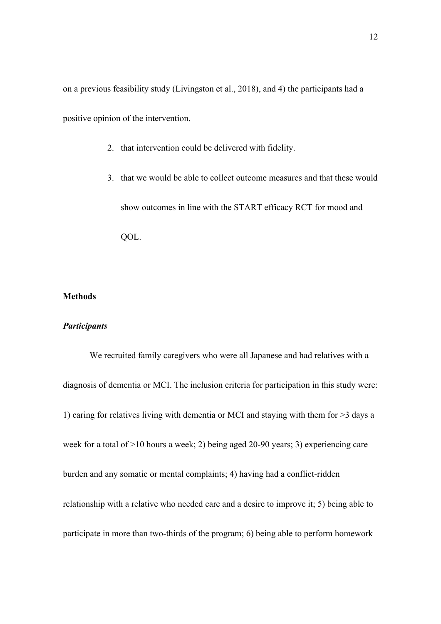on a previous feasibility study (Livingston et al., 2018), and 4) the participants had a positive opinion of the intervention.

- 2. that intervention could be delivered with fidelity.
- 3. that we would be able to collect outcome measures and that these would show outcomes in line with the START efficacy RCT for mood and QOL.

# **Methods**

#### *Participants*

We recruited family caregivers who were all Japanese and had relatives with a diagnosis of dementia or MCI. The inclusion criteria for participation in this study were: 1) caring for relatives living with dementia or MCI and staying with them for >3 days a week for a total of >10 hours a week; 2) being aged 20-90 years; 3) experiencing care burden and any somatic or mental complaints; 4) having had a conflict-ridden relationship with a relative who needed care and a desire to improve it; 5) being able to participate in more than two-thirds of the program; 6) being able to perform homework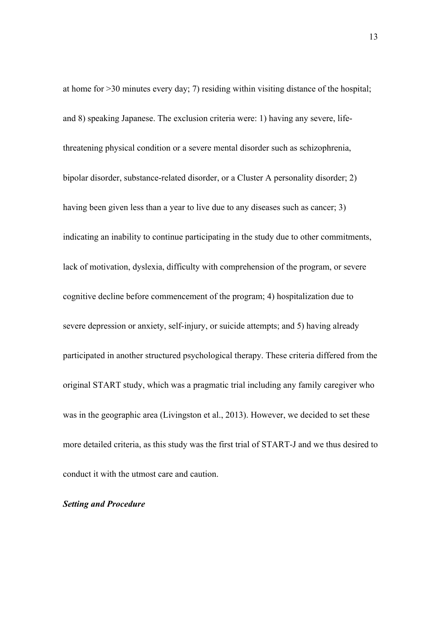at home for >30 minutes every day; 7) residing within visiting distance of the hospital; and 8) speaking Japanese. The exclusion criteria were: 1) having any severe, lifethreatening physical condition or a severe mental disorder such as schizophrenia, bipolar disorder, substance-related disorder, or a Cluster A personality disorder; 2) having been given less than a year to live due to any diseases such as cancer; 3) indicating an inability to continue participating in the study due to other commitments, lack of motivation, dyslexia, difficulty with comprehension of the program, or severe cognitive decline before commencement of the program; 4) hospitalization due to severe depression or anxiety, self-injury, or suicide attempts; and 5) having already participated in another structured psychological therapy. These criteria differed from the original START study, which was a pragmatic trial including any family caregiver who was in the geographic area (Livingston et al., 2013). However, we decided to set these more detailed criteria, as this study was the first trial of START-J and we thus desired to conduct it with the utmost care and caution.

#### *Setting and Procedure*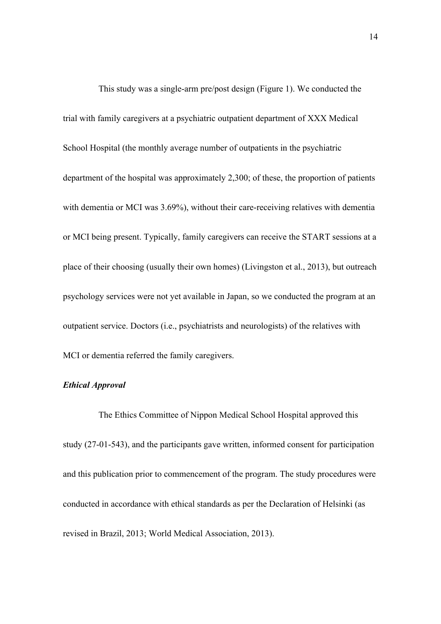This study was a single-arm pre/post design (Figure 1). We conducted the trial with family caregivers at a psychiatric outpatient department of XXX Medical School Hospital (the monthly average number of outpatients in the psychiatric department of the hospital was approximately 2,300; of these, the proportion of patients with dementia or MCI was 3.69%), without their care-receiving relatives with dementia or MCI being present. Typically, family caregivers can receive the START sessions at a place of their choosing (usually their own homes) (Livingston et al., 2013), but outreach psychology services were not yet available in Japan, so we conducted the program at an outpatient service. Doctors (i.e., psychiatrists and neurologists) of the relatives with MCI or dementia referred the family caregivers.

# *Ethical Approval*

The Ethics Committee of Nippon Medical School Hospital approved this study (27-01-543), and the participants gave written, informed consent for participation and this publication prior to commencement of the program. The study procedures were conducted in accordance with ethical standards as per the Declaration of Helsinki (as revised in Brazil, 2013; World Medical Association, 2013).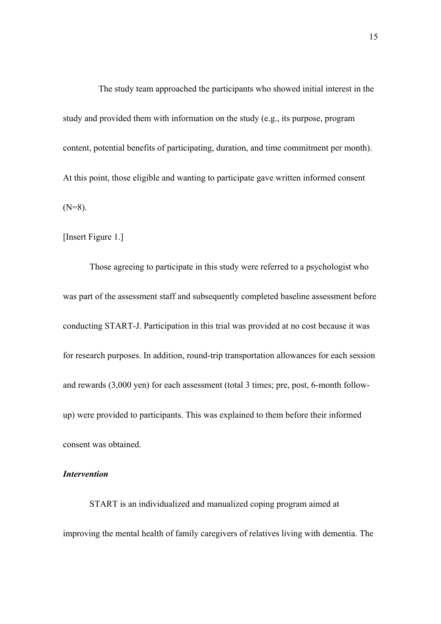The study team approached the participants who showed initial interest in the study and provided them with information on the study (e.g., its purpose, program content, potential benefits of participating, duration, and time commitment per month). At this point, those eligible and wanting to participate gave written informed consent  $(N=8)$ .

[Insert Figure 1.]

Those agreeing to participate in this study were referred to a psychologist who was part of the assessment staff and subsequently completed baseline assessment before conducting START-J. Participation in this trial was provided at no cost because it was for research purposes. In addition, round-trip transportation allowances for each session and rewards (3,000 yen) for each assessment (total 3 times; pre, post, 6-month followup) were provided to participants. This was explained to them before their informed consent was obtained.

## *Intervention*

START is an individualized and manualized coping program aimed at improving the mental health of family caregivers of relatives living with dementia. The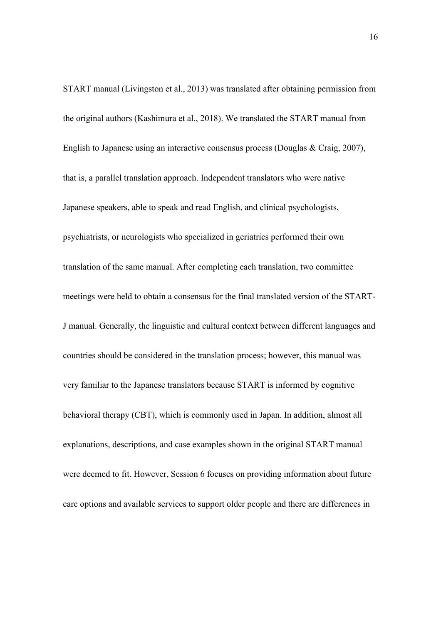START manual (Livingston et al., 2013) was translated after obtaining permission from the original authors (Kashimura et al., 2018). We translated the START manual from English to Japanese using an interactive consensus process (Douglas & Craig, 2007), that is, a parallel translation approach. Independent translators who were native Japanese speakers, able to speak and read English, and clinical psychologists, psychiatrists, or neurologists who specialized in geriatrics performed their own translation of the same manual. After completing each translation, two committee meetings were held to obtain a consensus for the final translated version of the START-J manual. Generally, the linguistic and cultural context between different languages and countries should be considered in the translation process; however, this manual was very familiar to the Japanese translators because START is informed by cognitive behavioral therapy (CBT), which is commonly used in Japan. In addition, almost all explanations, descriptions, and case examples shown in the original START manual were deemed to fit. However, Session 6 focuses on providing information about future care options and available services to support older people and there are differences in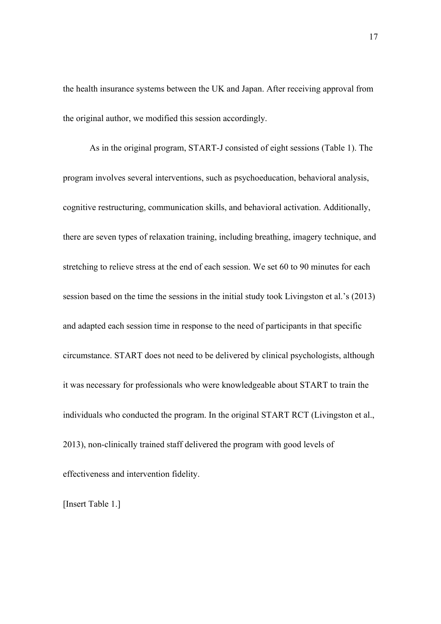the health insurance systems between the UK and Japan. After receiving approval from the original author, we modified this session accordingly.

As in the original program, START-J consisted of eight sessions (Table 1). The program involves several interventions, such as psychoeducation, behavioral analysis, cognitive restructuring, communication skills, and behavioral activation. Additionally, there are seven types of relaxation training, including breathing, imagery technique, and stretching to relieve stress at the end of each session. We set 60 to 90 minutes for each session based on the time the sessions in the initial study took Livingston et al.'s (2013) and adapted each session time in response to the need of participants in that specific circumstance. START does not need to be delivered by clinical psychologists, although it was necessary for professionals who were knowledgeable about START to train the individuals who conducted the program. In the original START RCT (Livingston et al., 2013), non-clinically trained staff delivered the program with good levels of effectiveness and intervention fidelity.

[Insert Table 1.]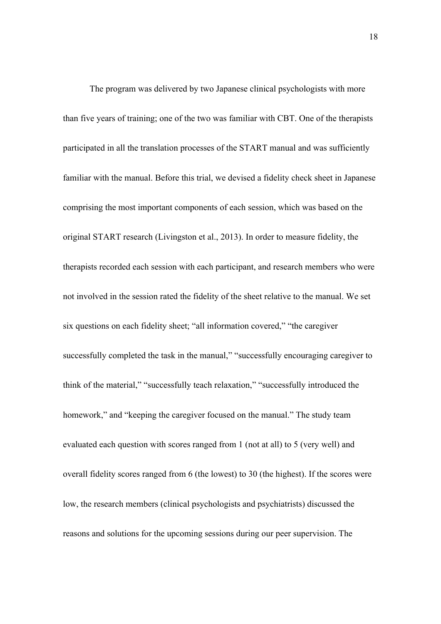The program was delivered by two Japanese clinical psychologists with more than five years of training; one of the two was familiar with CBT. One of the therapists participated in all the translation processes of the START manual and was sufficiently familiar with the manual. Before this trial, we devised a fidelity check sheet in Japanese comprising the most important components of each session, which was based on the original START research (Livingston et al., 2013). In order to measure fidelity, the therapists recorded each session with each participant, and research members who were not involved in the session rated the fidelity of the sheet relative to the manual. We set six questions on each fidelity sheet; "all information covered," "the caregiver successfully completed the task in the manual," "successfully encouraging caregiver to think of the material," "successfully teach relaxation," "successfully introduced the homework," and "keeping the caregiver focused on the manual." The study team evaluated each question with scores ranged from 1 (not at all) to 5 (very well) and overall fidelity scores ranged from 6 (the lowest) to 30 (the highest). If the scores were low, the research members (clinical psychologists and psychiatrists) discussed the reasons and solutions for the upcoming sessions during our peer supervision. The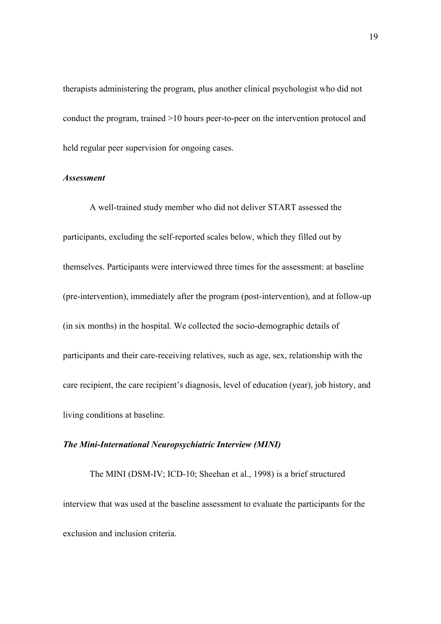therapists administering the program, plus another clinical psychologist who did not conduct the program, trained >10 hours peer-to-peer on the intervention protocol and held regular peer supervision for ongoing cases.

### *Assessment*

A well-trained study member who did not deliver START assessed the participants, excluding the self-reported scales below, which they filled out by themselves. Participants were interviewed three times for the assessment: at baseline (pre-intervention), immediately after the program (post-intervention), and at follow-up (in six months) in the hospital. We collected the socio-demographic details of participants and their care-receiving relatives, such as age, sex, relationship with the care recipient, the care recipient's diagnosis, level of education (year), job history, and living conditions at baseline.

# *The Mini-International Neuropsychiatric Interview (MINI)*

The MINI (DSM-IV; ICD-10; Sheehan et al., 1998) is a brief structured interview that was used at the baseline assessment to evaluate the participants for the exclusion and inclusion criteria.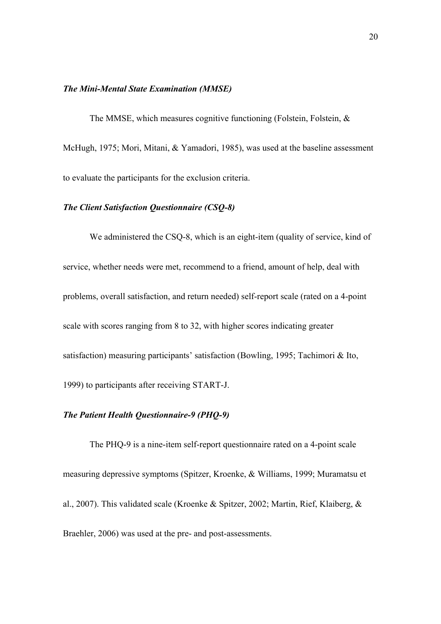## *The Mini-Mental State Examination (MMSE)*

The MMSE, which measures cognitive functioning (Folstein, Folstein, & McHugh, 1975; Mori, Mitani, & Yamadori, 1985), was used at the baseline assessment to evaluate the participants for the exclusion criteria.

## *The Client Satisfaction Questionnaire (CSQ-8)*

We administered the CSQ-8, which is an eight-item (quality of service, kind of service, whether needs were met, recommend to a friend, amount of help, deal with problems, overall satisfaction, and return needed) self-report scale (rated on a 4-point scale with scores ranging from 8 to 32, with higher scores indicating greater satisfaction) measuring participants' satisfaction (Bowling, 1995; Tachimori & Ito, 1999) to participants after receiving START-J.

# *The Patient Health Questionnaire-9 (PHQ-9)*

The PHQ-9 is a nine-item self-report questionnaire rated on a 4-point scale measuring depressive symptoms (Spitzer, Kroenke, & Williams, 1999; Muramatsu et al., 2007). This validated scale (Kroenke & Spitzer, 2002; Martin, Rief, Klaiberg, & Braehler, 2006) was used at the pre- and post-assessments.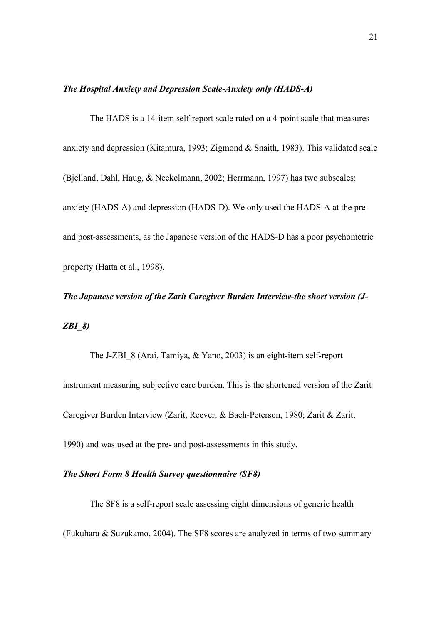### *The Hospital Anxiety and Depression Scale-Anxiety only (HADS-A)*

The HADS is a 14-item self-report scale rated on a 4-point scale that measures anxiety and depression (Kitamura, 1993; Zigmond & Snaith, 1983). This validated scale (Bjelland, Dahl, Haug, & Neckelmann, 2002; Herrmann, 1997) has two subscales: anxiety (HADS-A) and depression (HADS-D). We only used the HADS-A at the preand post-assessments, as the Japanese version of the HADS-D has a poor psychometric property (Hatta et al., 1998).

*The Japanese version of the Zarit Caregiver Burden Interview-the short version (J-ZBI\_8)* 

The J-ZBI\_8 (Arai, Tamiya, & Yano, 2003) is an eight-item self-report instrument measuring subjective care burden. This is the shortened version of the Zarit Caregiver Burden Interview (Zarit, Reever, & Bach-Peterson, 1980; Zarit & Zarit, 1990) and was used at the pre- and post-assessments in this study.

## *The Short Form 8 Health Survey questionnaire (SF8)*

The SF8 is a self-report scale assessing eight dimensions of generic health (Fukuhara & Suzukamo, 2004). The SF8 scores are analyzed in terms of two summary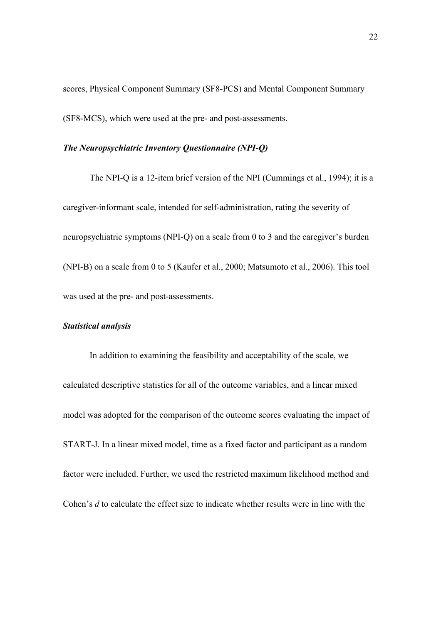scores, Physical Component Summary (SF8-PCS) and Mental Component Summary (SF8-MCS), which were used at the pre- and post-assessments.

#### *The Neuropsychiatric Inventory Questionnaire (NPI-Q)*

The NPI-Q is a 12-item brief version of the NPI (Cummings et al., 1994); it is a caregiver-informant scale, intended for self-administration, rating the severity of neuropsychiatric symptoms (NPI-Q) on a scale from 0 to 3 and the caregiver's burden (NPI-B) on a scale from 0 to 5 (Kaufer et al., 2000; Matsumoto et al., 2006). This tool was used at the pre- and post-assessments.

#### *Statistical analysis*

In addition to examining the feasibility and acceptability of the scale, we calculated descriptive statistics for all of the outcome variables, and a linear mixed model was adopted for the comparison of the outcome scores evaluating the impact of START-J. In a linear mixed model, time as a fixed factor and participant as a random factor were included. Further, we used the restricted maximum likelihood method and Cohen's *d* to calculate the effect size to indicate whether results were in line with the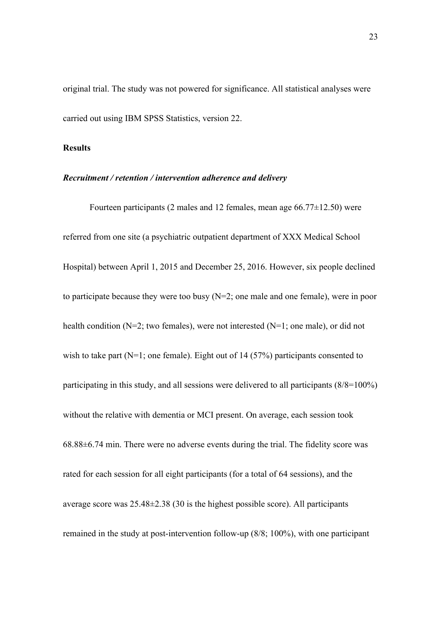original trial. The study was not powered for significance. All statistical analyses were carried out using IBM SPSS Statistics, version 22.

#### **Results**

#### *Recruitment / retention / intervention adherence and delivery*

Fourteen participants (2 males and 12 females, mean age  $66.77 \pm 12.50$ ) were referred from one site (a psychiatric outpatient department of XXX Medical School Hospital) between April 1, 2015 and December 25, 2016. However, six people declined to participate because they were too busy (N=2; one male and one female), were in poor health condition (N=2; two females), were not interested (N=1; one male), or did not wish to take part ( $N=1$ ; one female). Eight out of 14 (57%) participants consented to participating in this study, and all sessions were delivered to all participants (8/8=100%) without the relative with dementia or MCI present. On average, each session took 68.88±6.74 min. There were no adverse events during the trial. The fidelity score was rated for each session for all eight participants (for a total of 64 sessions), and the average score was 25.48±2.38 (30 is the highest possible score). All participants remained in the study at post-intervention follow-up (8/8; 100%), with one participant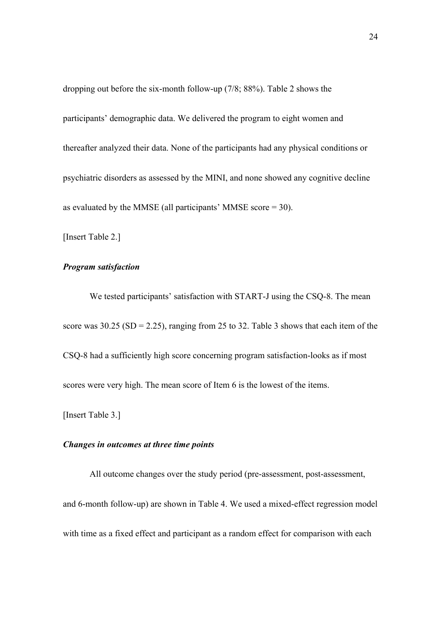dropping out before the six-month follow-up (7/8; 88%). Table 2 shows the participants' demographic data. We delivered the program to eight women and thereafter analyzed their data. None of the participants had any physical conditions or psychiatric disorders as assessed by the MINI, and none showed any cognitive decline as evaluated by the MMSE (all participants' MMSE score  $= 30$ ).

[Insert Table 2.]

### *Program satisfaction*

We tested participants' satisfaction with START-J using the CSQ-8. The mean score was  $30.25$  (SD = 2.25), ranging from 25 to 32. Table 3 shows that each item of the CSQ-8 had a sufficiently high score concerning program satisfaction-looks as if most scores were very high. The mean score of Item 6 is the lowest of the items.

[Insert Table 3.]

# *Changes in outcomes at three time points*

All outcome changes over the study period (pre-assessment, post-assessment, and 6-month follow-up) are shown in Table 4. We used a mixed-effect regression model with time as a fixed effect and participant as a random effect for comparison with each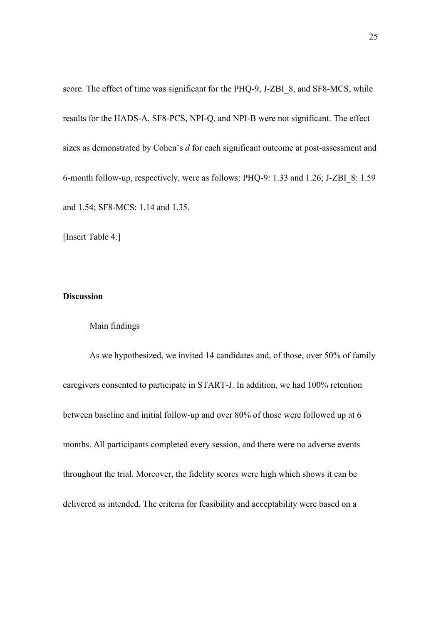score. The effect of time was significant for the PHQ-9, J-ZBI\_8, and SF8-MCS, while results for the HADS-A, SF8-PCS, NPI-Q, and NPI-B were not significant. The effect sizes as demonstrated by Cohen's *d* for each significant outcome at post-assessment and 6-month follow-up, respectively, were as follows: PHQ-9: 1.33 and 1.26; J-ZBI\_8: 1.59 and 1.54; SF8-MCS: 1.14 and 1.35.

[Insert Table 4.]

# **Discussion**

#### Main findings

As we hypothesized, we invited 14 candidates and, of those, over 50% of family caregivers consented to participate in START-J. In addition, we had 100% retention between baseline and initial follow-up and over 80% of those were followed up at 6 months. All participants completed every session, and there were no adverse events throughout the trial. Moreover, the fidelity scores were high which shows it can be delivered as intended. The criteria for feasibility and acceptability were based on a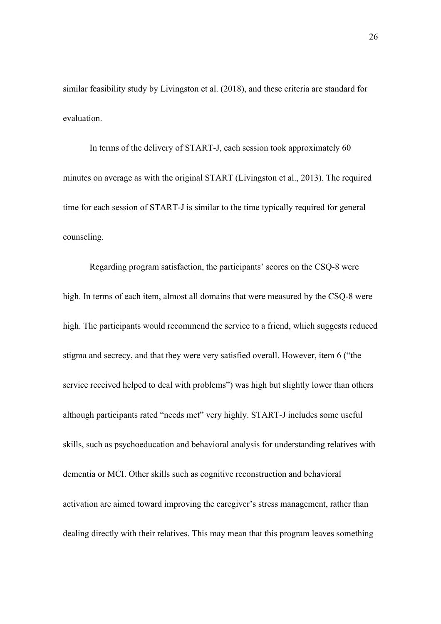similar feasibility study by Livingston et al. (2018), and these criteria are standard for evaluation.

In terms of the delivery of START-J, each session took approximately 60 minutes on average as with the original START (Livingston et al., 2013). The required time for each session of START-J is similar to the time typically required for general counseling.

Regarding program satisfaction, the participants' scores on the CSQ-8 were high. In terms of each item, almost all domains that were measured by the CSQ-8 were high. The participants would recommend the service to a friend, which suggests reduced stigma and secrecy, and that they were very satisfied overall. However, item 6 ("the service received helped to deal with problems") was high but slightly lower than others although participants rated "needs met" very highly. START-J includes some useful skills, such as psychoeducation and behavioral analysis for understanding relatives with dementia or MCI. Other skills such as cognitive reconstruction and behavioral activation are aimed toward improving the caregiver's stress management, rather than dealing directly with their relatives. This may mean that this program leaves something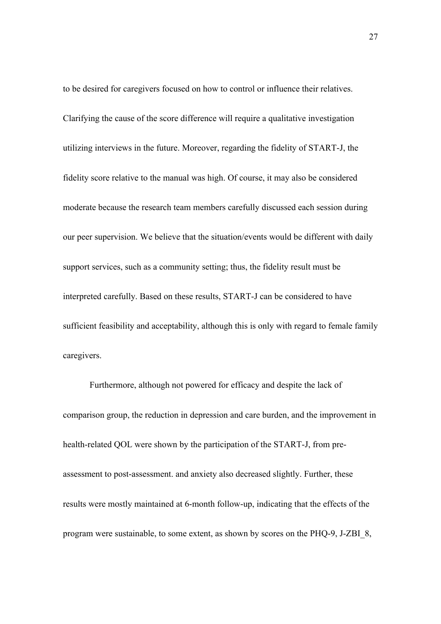to be desired for caregivers focused on how to control or influence their relatives. Clarifying the cause of the score difference will require a qualitative investigation utilizing interviews in the future. Moreover, regarding the fidelity of START-J, the fidelity score relative to the manual was high. Of course, it may also be considered moderate because the research team members carefully discussed each session during our peer supervision. We believe that the situation/events would be different with daily support services, such as a community setting; thus, the fidelity result must be interpreted carefully. Based on these results, START-J can be considered to have sufficient feasibility and acceptability, although this is only with regard to female family caregivers.

Furthermore, although not powered for efficacy and despite the lack of comparison group, the reduction in depression and care burden, and the improvement in health-related QOL were shown by the participation of the START-J, from preassessment to post-assessment. and anxiety also decreased slightly. Further, these results were mostly maintained at 6-month follow-up, indicating that the effects of the program were sustainable, to some extent, as shown by scores on the PHQ-9, J-ZBI\_8,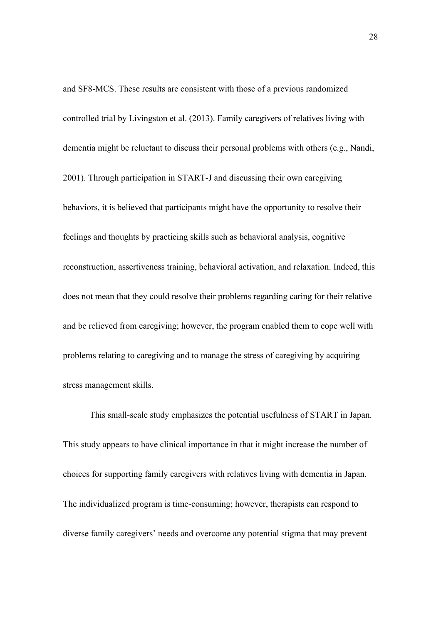and SF8-MCS. These results are consistent with those of a previous randomized controlled trial by Livingston et al. (2013). Family caregivers of relatives living with dementia might be reluctant to discuss their personal problems with others (e.g., Nandi, 2001). Through participation in START-J and discussing their own caregiving behaviors, it is believed that participants might have the opportunity to resolve their feelings and thoughts by practicing skills such as behavioral analysis, cognitive reconstruction, assertiveness training, behavioral activation, and relaxation. Indeed, this does not mean that they could resolve their problems regarding caring for their relative and be relieved from caregiving; however, the program enabled them to cope well with problems relating to caregiving and to manage the stress of caregiving by acquiring stress management skills.

This small-scale study emphasizes the potential usefulness of START in Japan. This study appears to have clinical importance in that it might increase the number of choices for supporting family caregivers with relatives living with dementia in Japan. The individualized program is time-consuming; however, therapists can respond to diverse family caregivers' needs and overcome any potential stigma that may prevent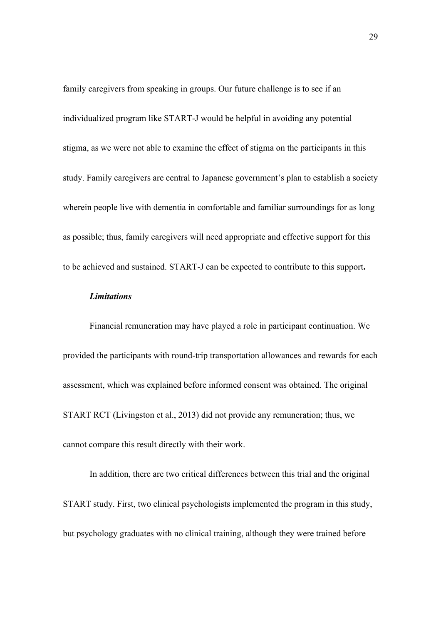family caregivers from speaking in groups. Our future challenge is to see if an individualized program like START-J would be helpful in avoiding any potential stigma, as we were not able to examine the effect of stigma on the participants in this study. Family caregivers are central to Japanese government's plan to establish a society wherein people live with dementia in comfortable and familiar surroundings for as long as possible; thus, family caregivers will need appropriate and effective support for this to be achieved and sustained. START-J can be expected to contribute to this support**.**

#### *Limitations*

Financial remuneration may have played a role in participant continuation. We provided the participants with round-trip transportation allowances and rewards for each assessment, which was explained before informed consent was obtained. The original START RCT (Livingston et al., 2013) did not provide any remuneration; thus, we cannot compare this result directly with their work.

In addition, there are two critical differences between this trial and the original START study. First, two clinical psychologists implemented the program in this study, but psychology graduates with no clinical training, although they were trained before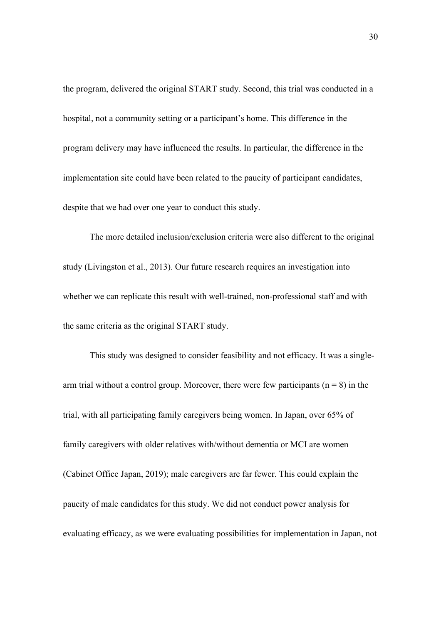the program, delivered the original START study. Second, this trial was conducted in a hospital, not a community setting or a participant's home. This difference in the program delivery may have influenced the results. In particular, the difference in the implementation site could have been related to the paucity of participant candidates, despite that we had over one year to conduct this study.

The more detailed inclusion/exclusion criteria were also different to the original study (Livingston et al., 2013). Our future research requires an investigation into whether we can replicate this result with well-trained, non-professional staff and with the same criteria as the original START study.

This study was designed to consider feasibility and not efficacy. It was a singlearm trial without a control group. Moreover, there were few participants ( $n = 8$ ) in the trial, with all participating family caregivers being women. In Japan, over 65% of family caregivers with older relatives with/without dementia or MCI are women (Cabinet Office Japan, 2019); male caregivers are far fewer. This could explain the paucity of male candidates for this study. We did not conduct power analysis for evaluating efficacy, as we were evaluating possibilities for implementation in Japan, not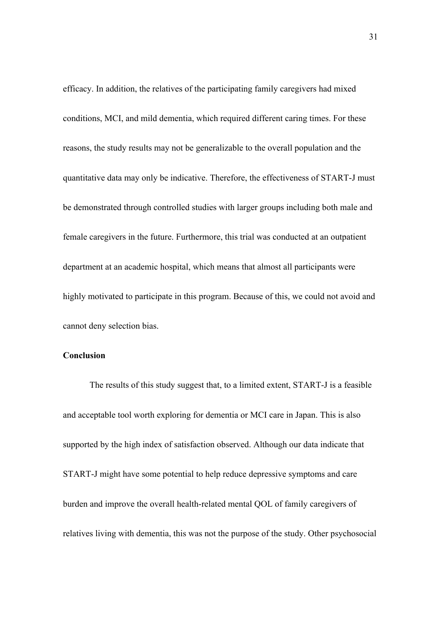efficacy. In addition, the relatives of the participating family caregivers had mixed conditions, MCI, and mild dementia, which required different caring times. For these reasons, the study results may not be generalizable to the overall population and the quantitative data may only be indicative. Therefore, the effectiveness of START-J must be demonstrated through controlled studies with larger groups including both male and female caregivers in the future. Furthermore, this trial was conducted at an outpatient department at an academic hospital, which means that almost all participants were highly motivated to participate in this program. Because of this, we could not avoid and cannot deny selection bias.

# **Conclusion**

The results of this study suggest that, to a limited extent, START-J is a feasible and acceptable tool worth exploring for dementia or MCI care in Japan. This is also supported by the high index of satisfaction observed. Although our data indicate that START-J might have some potential to help reduce depressive symptoms and care burden and improve the overall health-related mental QOL of family caregivers of relatives living with dementia, this was not the purpose of the study. Other psychosocial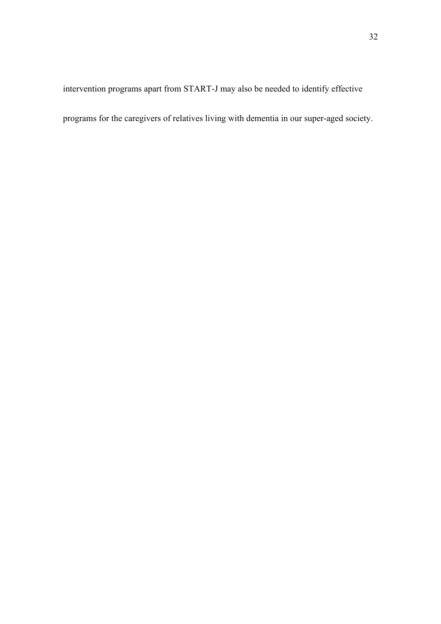intervention programs apart from START-J may also be needed to identify effective

programs for the caregivers of relatives living with dementia in our super-aged society.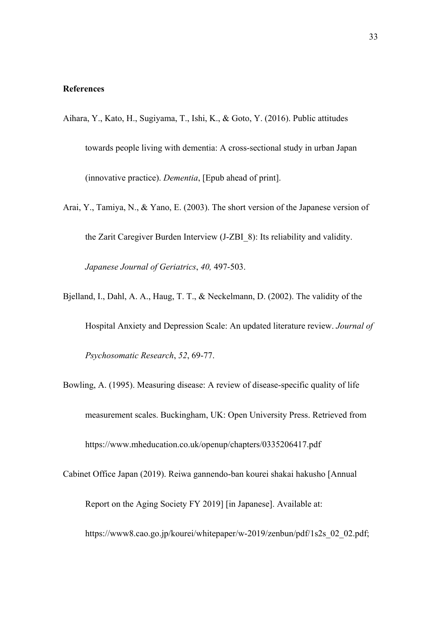## **References**

- Aihara, Y., Kato, H., Sugiyama, T., Ishi, K., & Goto, Y. (2016). Public attitudes towards people living with dementia: A cross-sectional study in urban Japan (innovative practice). *Dementia*, [Epub ahead of print].
- Arai, Y., Tamiya, N., & Yano, E. (2003). The short version of the Japanese version of the Zarit Caregiver Burden Interview (J-ZBI\_8): Its reliability and validity. *Japanese Journal of Geriatrics*, *40,* 497-503.
- Bjelland, I., Dahl, A. A., Haug, T. T., & Neckelmann, D. (2002). The validity of the Hospital Anxiety and Depression Scale: An updated literature review. *Journal of Psychosomatic Research*, *52*, 69-77.
- Bowling, A. (1995). Measuring disease: A review of disease-specific quality of life measurement scales. Buckingham, UK: Open University Press. Retrieved from https://www.mheducation.co.uk/openup/chapters/0335206417.pdf
- Cabinet Office Japan (2019). Reiwa gannendo-ban kourei shakai hakusho [Annual Report on the Aging Society FY 2019] [in Japanese]. Available at: https://www8.cao.go.jp/kourei/whitepaper/w-2019/zenbun/pdf/1s2s 02 02.pdf;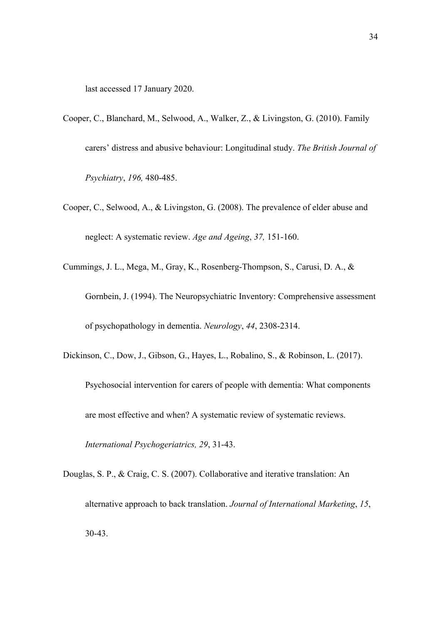last accessed 17 January 2020.

- Cooper, C., Blanchard, M., Selwood, A., Walker, Z., & Livingston, G. (2010). Family carers' distress and abusive behaviour: Longitudinal study. *The British Journal of Psychiatry*, *196,* 480-485.
- Cooper, C., Selwood, A., & Livingston, G. (2008). The prevalence of elder abuse and neglect: A systematic review. *Age and Ageing*, *37,* 151-160.
- Cummings, J. L., Mega, M., Gray, K., Rosenberg-Thompson, S., Carusi, D. A., & Gornbein, J. (1994). The Neuropsychiatric Inventory: Comprehensive assessment of psychopathology in dementia. *Neurology*, *44*, 2308-2314.
- Dickinson, C., Dow, J., Gibson, G., Hayes, L., Robalino, S., & Robinson, L. (2017).
	- Psychosocial intervention for carers of people with dementia: What components are most effective and when? A systematic review of systematic reviews. *International Psychogeriatrics, 29*, 31-43.
- Douglas, S. P., & Craig, C. S. (2007). Collaborative and iterative translation: An alternative approach to back translation. *Journal of International Marketing*, *15*, 30-43.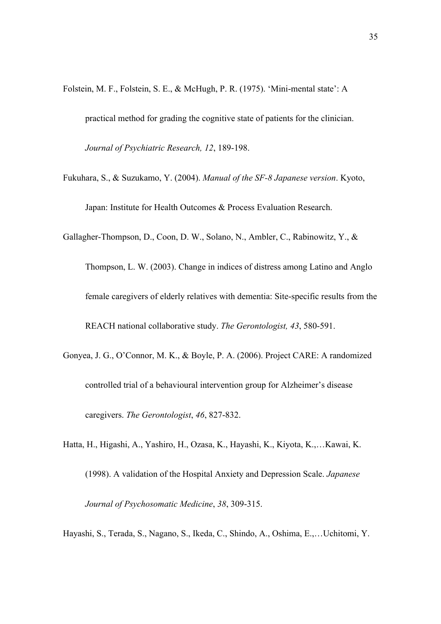Folstein, M. F., Folstein, S. E., & McHugh, P. R. (1975). 'Mini-mental state': A practical method for grading the cognitive state of patients for the clinician. *Journal of Psychiatric Research, 12*, 189-198.

Fukuhara, S., & Suzukamo, Y. (2004). *Manual of the SF-8 Japanese version*. Kyoto, Japan: Institute for Health Outcomes & Process Evaluation Research.

Gallagher-Thompson, D., Coon, D. W., Solano, N., Ambler, C., Rabinowitz, Y., &

Thompson, L. W. (2003). Change in indices of distress among Latino and Anglo female caregivers of elderly relatives with dementia: Site-specific results from the REACH national collaborative study. *The Gerontologist, 43*, 580-591.

- Gonyea, J. G., O'Connor, M. K., & Boyle, P. A. (2006). Project CARE: A randomized controlled trial of a behavioural intervention group for Alzheimer's disease caregivers. *The Gerontologist*, *46*, 827-832.
- Hatta, H., Higashi, A., Yashiro, H., Ozasa, K., Hayashi, K., Kiyota, K.,…Kawai, K. (1998). A validation of the Hospital Anxiety and Depression Scale. *Japanese Journal of Psychosomatic Medicine*, *38*, 309-315.

Hayashi, S., Terada, S., Nagano, S., Ikeda, C., Shindo, A., Oshima, E.,…Uchitomi, Y.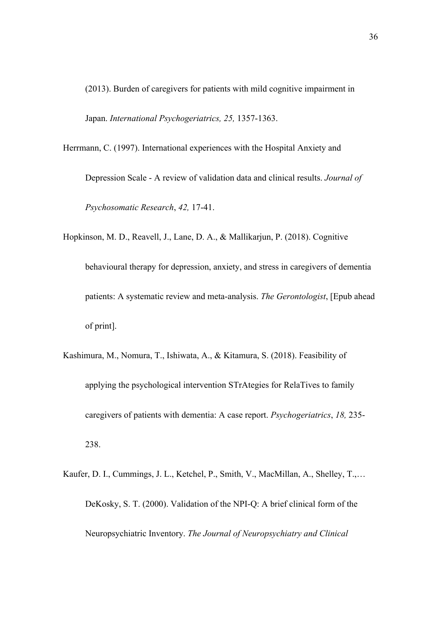(2013). Burden of caregivers for patients with mild cognitive impairment in Japan. *International Psychogeriatrics, 25,* 1357-1363.

Herrmann, C. (1997). International experiences with the Hospital Anxiety and Depression Scale - A review of validation data and clinical results. *Journal of* 

*Psychosomatic Research*, *42,* 17-41.

Hopkinson, M. D., Reavell, J., Lane, D. A., & Mallikarjun, P. (2018). Cognitive behavioural therapy for depression, anxiety, and stress in caregivers of dementia patients: A systematic review and meta-analysis. *The Gerontologist*, [Epub ahead of print].

- Kashimura, M., Nomura, T., Ishiwata, A., & Kitamura, S. (2018). Feasibility of applying the psychological intervention STrAtegies for RelaTives to family caregivers of patients with dementia: A case report. *Psychogeriatrics*, *18,* 235- 238.
- Kaufer, D. I., Cummings, J. L., Ketchel, P., Smith, V., MacMillan, A., Shelley, T.,… DeKosky, S. T. (2000). Validation of the NPI-Q: A brief clinical form of the Neuropsychiatric Inventory. *The Journal of Neuropsychiatry and Clinical*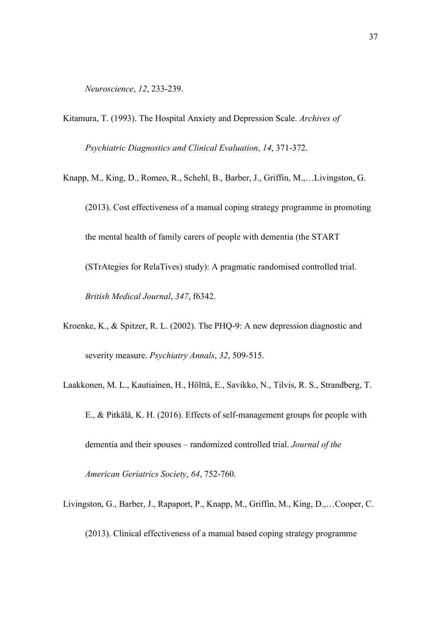*Neuroscience*, *12*, 233-239.

Kitamura, T. (1993). The Hospital Anxiety and Depression Scale. *Archives of* 

*Psychiatric Diagnostics and Clinical Evaluation*, *14*, 371-372.

- Knapp, M., King, D., Romeo, R., Schehl, B., Barber, J., Griffin, M.,…Livingston, G. (2013). Cost effectiveness of a manual coping strategy programme in promoting the mental health of family carers of people with dementia (the START (STrAtegies for RelaTives) study): A pragmatic randomised controlled trial. *British Medical Journal*, *347*, f6342.
- Kroenke, K., & Spitzer, R. L. (2002). The PHQ-9: A new depression diagnostic and severity measure. *Psychiatry Annals*, *32*, 509-515.
- Laakkonen, M. L., Kautiainen, H., Hölttä, E., Savikko, N., Tilvis, R. S., Strandberg, T. E., & Pitkälä, K. H. (2016). Effects of self-management groups for people with dementia and their spouses – randomized controlled trial. *Journal of the American Geriatrics Society*, *64*, 752-760.
- Livingston, G., Barber, J., Rapaport, P., Knapp, M., Griffin, M., King, D.,…Cooper, C. (2013). Clinical effectiveness of a manual based coping strategy programme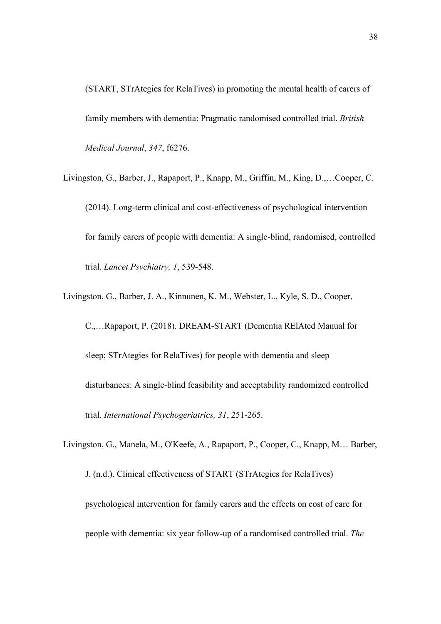(START, STrAtegies for RelaTives) in promoting the mental health of carers of family members with dementia: Pragmatic randomised controlled trial. *British Medical Journal*, *347*, f6276.

- Livingston, G., Barber, J., Rapaport, P., Knapp, M., Griffin, M., King, D.,…Cooper, C. (2014). Long-term clinical and cost-effectiveness of psychological intervention for family carers of people with dementia: A single-blind, randomised, controlled trial. *Lancet Psychiatry, 1*, 539-548.
- Livingston, G., Barber, J. A., Kinnunen, K. M., Webster, L., Kyle, S. D., Cooper, C.,…Rapaport, P. (2018). DREAM-START (Dementia RElAted Manual for sleep; STrAtegies for RelaTives) for people with dementia and sleep disturbances: A single-blind feasibility and acceptability randomized controlled trial. *International Psychogeriatrics, 31*, 251-265.
- Livingston, G., Manela, M., O'Keefe, A., Rapaport, P., Cooper, C., Knapp, M… Barber, J. (n.d.). Clinical effectiveness of START (STrAtegies for RelaTives) psychological intervention for family carers and the effects on cost of care for people with dementia: six year follow-up of a randomised controlled trial. *The*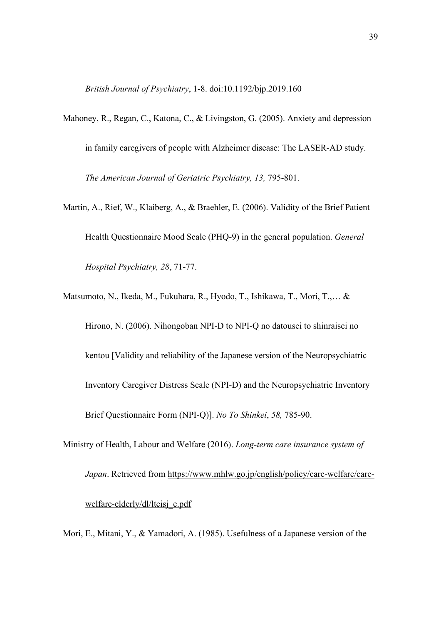*British Journal of Psychiatry*, 1-8. doi:10.1192/bjp.2019.160

- Mahoney, R., Regan, C., Katona, C., & Livingston, G. (2005). Anxiety and depression in family caregivers of people with Alzheimer disease: The LASER-AD study. *The American Journal of Geriatric Psychiatry, 13,* 795-801.
- Martin, A., Rief, W., Klaiberg, A., & Braehler, E. (2006). Validity of the Brief Patient Health Questionnaire Mood Scale (PHQ-9) in the general population. *General Hospital Psychiatry, 28*, 71-77.
- Matsumoto, N., Ikeda, M., Fukuhara, R., Hyodo, T., Ishikawa, T., Mori, T.,… & Hirono, N. (2006). Nihongoban NPI-D to NPI-Q no datousei to shinraisei no kentou [Validity and reliability of the Japanese version of the Neuropsychiatric Inventory Caregiver Distress Scale (NPI-D) and the Neuropsychiatric Inventory Brief Questionnaire Form (NPI-Q)]. *No To Shinkei*, *58,* 785-90.
- Ministry of Health, Labour and Welfare (2016). *Long-term care insurance system of Japan*. Retrieved from https://www.mhlw.go.jp/english/policy/care-welfare/carewelfare-elderly/dl/ltcisj\_e.pdf
- Mori, E., Mitani, Y., & Yamadori, A. (1985). Usefulness of a Japanese version of the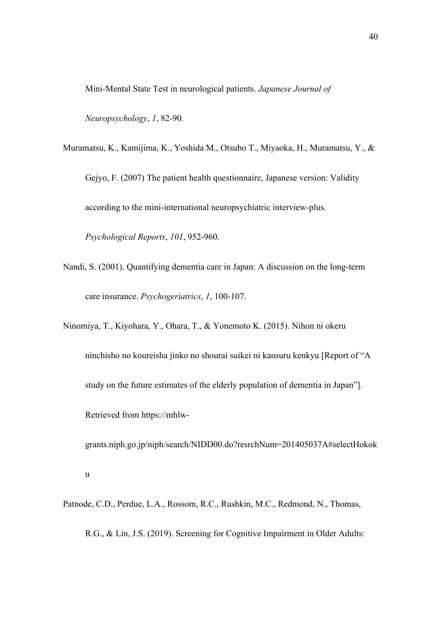Mini-Mental State Test in neurological patients. *Japanese Journal of* 

*Neuropsychology*, *1*, 82-90.

Muramatsu, K., Kamijima, K., Yoshida M., Otsubo T., Miyaoka, H., Muramatsu, Y., & Gejyo, F. (2007) The patient health questionnaire, Japanese version: Validity according to the mini-international neuropsychiatric interview-plus.

*Psychological Reports*, *101*, 952-960.

- Nandi, S. (2001). Quantifying dementia care in Japan: A discussion on the long-term care insurance. *Psychogeriatrics*, *1*, 100-107.
- Ninomiya, T., Kiyohara, Y., Ohara, T., & Yonemoto K. (2015). Nihon ni okeru ninchisho no koureisha jinko no shourai suikei ni kansuru kenkyu [Report of "A study on the future estimates of the elderly population of dementia in Japan"]*.* Retrieved from https://mhlw-

grants.niph.go.jp/niph/search/NIDD00.do?resrchNum=201405037A#selectHokok u

Patnode, C.D., Perdue, L.A., Rossom, R.C., Rushkin, M.C., Redmond, N., Thomas, R.G., & Lin, J.S. (2019). Screening for Cognitive Impairment in Older Adults: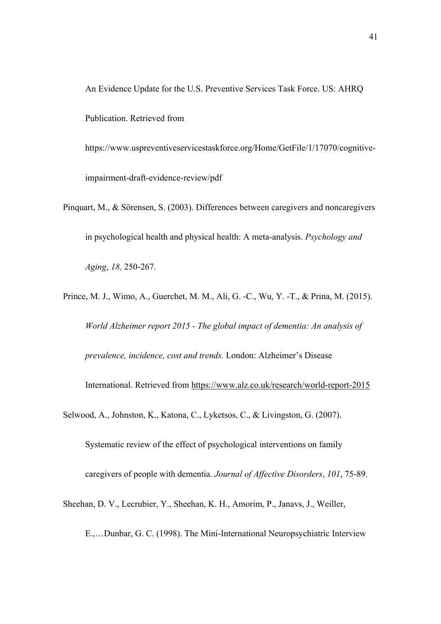An Evidence Update for the U.S. Preventive Services Task Force. US: AHRQ Publication. Retrieved from

https://www.uspreventiveservicestaskforce.org/Home/GetFile/1/17070/cognitiveimpairment-draft-evidence-review/pdf

- Pinquart, M., & Sörensen, S. (2003). Differences between caregivers and noncaregivers in psychological health and physical health: A meta-analysis. *Psychology and Aging*, *18,* 250-267.
- Prince, M. J., Wimo, A., Guerchet, M. M., Ali, G. -C., Wu, Y. -T., & Prina, M. (2015). *World Alzheimer report 2015 - The global impact of dementia: An analysis of prevalence, incidence, cost and trends.* London: Alzheimer's Disease International. Retrieved from https://www.alz.co.uk/research/world-report-2015
- Selwood, A., Johnston, K., Katona, C., Lyketsos, C., & Livingston, G. (2007). Systematic review of the effect of psychological interventions on family caregivers of people with dementia. *Journal of Affective Disorders*, *101*, 75-89.
- Sheehan, D. V., Lecrubier, Y., Sheehan, K. H., Amorim, P., Janavs, J., Weiller,

E.,…Dunbar, G. C. (1998). The Mini-International Neuropsychiatric Interview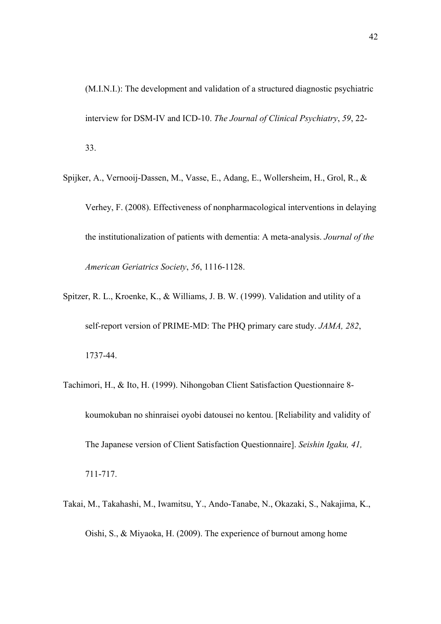(M.I.N.I.): The development and validation of a structured diagnostic psychiatric interview for DSM-IV and ICD-10. *The Journal of Clinical Psychiatry*, *59*, 22- 33.

- Spijker, A., Vernooij-Dassen, M., Vasse, E., Adang, E., Wollersheim, H., Grol, R., & Verhey, F. (2008). Effectiveness of nonpharmacological interventions in delaying the institutionalization of patients with dementia: A meta-analysis. *Journal of the American Geriatrics Society*, *56*, 1116-1128.
- Spitzer, R. L., Kroenke, K., & Williams, J. B. W. (1999). Validation and utility of a self-report version of PRIME-MD: The PHQ primary care study. *JAMA, 282*, 1737-44.
- Tachimori, H., & Ito, H. (1999). Nihongoban Client Satisfaction Questionnaire 8 koumokuban no shinraisei oyobi datousei no kentou. [Reliability and validity of The Japanese version of Client Satisfaction Questionnaire]. *Seishin Igaku, 41,* 711-717.
- Takai, M., Takahashi, M., Iwamitsu, Y., Ando-Tanabe, N., Okazaki, S., Nakajima, K., Oishi, S., & Miyaoka, H. (2009). The experience of burnout among home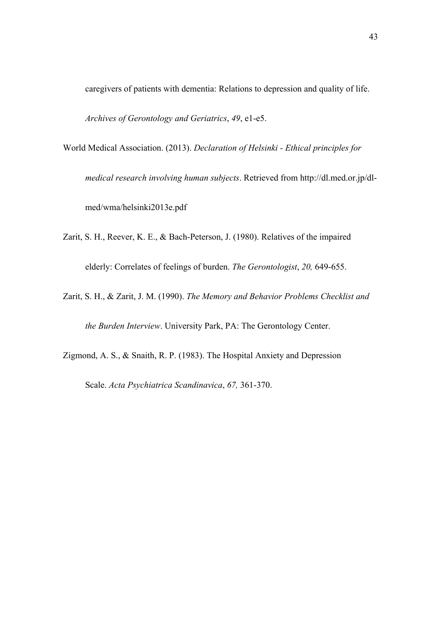caregivers of patients with dementia: Relations to depression and quality of life. *Archives of Gerontology and Geriatrics*, *49*, e1-e5.

World Medical Association. (2013). *Declaration of Helsinki - Ethical principles for medical research involving human subjects*. Retrieved from http://dl.med.or.jp/dlmed/wma/helsinki2013e.pdf

- Zarit, S. H., Reever, K. E., & Bach-Peterson, J. (1980). Relatives of the impaired elderly: Correlates of feelings of burden. *The Gerontologist*, *20,* 649-655.
- Zarit, S. H., & Zarit, J. M. (1990). *The Memory and Behavior Problems Checklist and the Burden Interview*. University Park, PA: The Gerontology Center.

Zigmond, A. S., & Snaith, R. P. (1983). The Hospital Anxiety and Depression

Scale. *Acta Psychiatrica Scandinavica*, *67,* 361-370.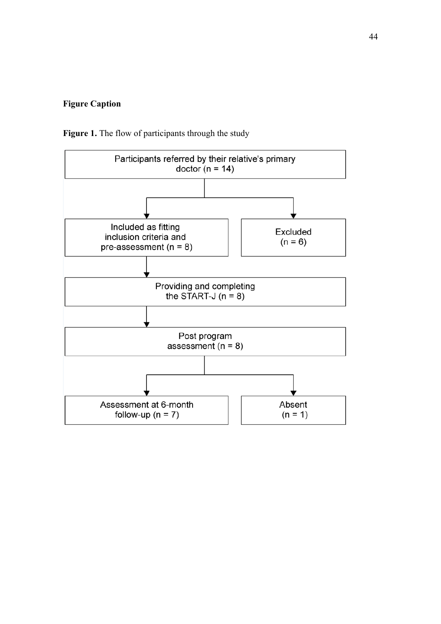## **Figure Caption**

Figure 1. The flow of participants through the study

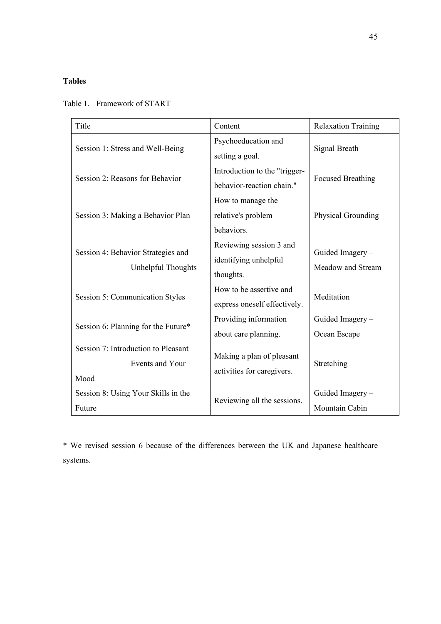# **Tables**

| Title                                                          | Content                                                       | <b>Relaxation Training</b>           |  |
|----------------------------------------------------------------|---------------------------------------------------------------|--------------------------------------|--|
| Session 1: Stress and Well-Being                               | Psychoeducation and<br>setting a goal.                        | Signal Breath                        |  |
| Session 2: Reasons for Behavior                                | Introduction to the "trigger-<br>behavior-reaction chain."    | <b>Focused Breathing</b>             |  |
| Session 3: Making a Behavior Plan                              | How to manage the<br>relative's problem<br>behaviors.         | Physical Grounding                   |  |
| Session 4: Behavior Strategies and<br>Unhelpful Thoughts       | Reviewing session 3 and<br>identifying unhelpful<br>thoughts. | Guided Imagery-<br>Meadow and Stream |  |
| Session 5: Communication Styles                                | How to be assertive and<br>express oneself effectively.       | Meditation                           |  |
| Session 6: Planning for the Future*                            | Providing information<br>about care planning.                 | Guided Imagery-<br>Ocean Escape      |  |
| Session 7: Introduction to Pleasant<br>Events and Your<br>Mood | Making a plan of pleasant<br>activities for caregivers.       | Stretching                           |  |
| Session 8: Using Your Skills in the<br>Future                  | Reviewing all the sessions.                                   | Guided Imagery -<br>Mountain Cabin   |  |

## Table 1. Framework of START

\* We revised session 6 because of the differences between the UK and Japanese healthcare systems.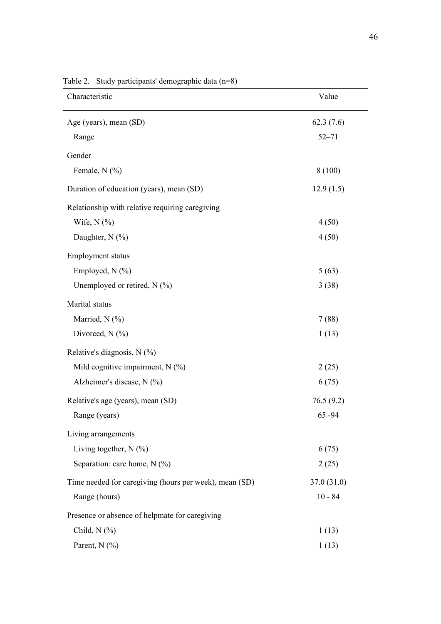| Characteristic                                         | Value       |
|--------------------------------------------------------|-------------|
| Age (years), mean (SD)                                 | 62.3(7.6)   |
| Range                                                  | $52 - 71$   |
| Gender                                                 |             |
| Female, $N$ (%)                                        | 8 (100)     |
| Duration of education (years), mean (SD)               | 12.9(1.5)   |
| Relationship with relative requiring caregiving        |             |
| Wife, $N$ $(\%)$                                       | 4(50)       |
| Daughter, $N$ (%)                                      | 4(50)       |
| <b>Employment</b> status                               |             |
| Employed, $N$ (%)                                      | 5(63)       |
| Unemployed or retired, $N$ (%)                         | 3(38)       |
| Marital status                                         |             |
| Married, N (%)                                         | 7(88)       |
| Divorced, $N$ (%)                                      | 1(13)       |
| Relative's diagnosis, $N$ (%)                          |             |
| Mild cognitive impairment, N (%)                       | 2(25)       |
| Alzheimer's disease, N (%)                             | 6(75)       |
| Relative's age (years), mean (SD)                      | 76.5(9.2)   |
| Range (years)                                          | 65-94       |
| Living arrangements                                    |             |
| Living together, $N$ (%)                               | 6(75)       |
| Separation: care home, N (%)                           | 2(25)       |
| Time needed for caregiving (hours per week), mean (SD) | 37.0 (31.0) |
| Range (hours)                                          | $10 - 84$   |
| Presence or absence of helpmate for caregiving         |             |
| Child, $N$ $(\%)$                                      | 1(13)       |
| Parent, $N$ (%)                                        | 1(13)       |

Table 2. Study participants' demographic data (n=8)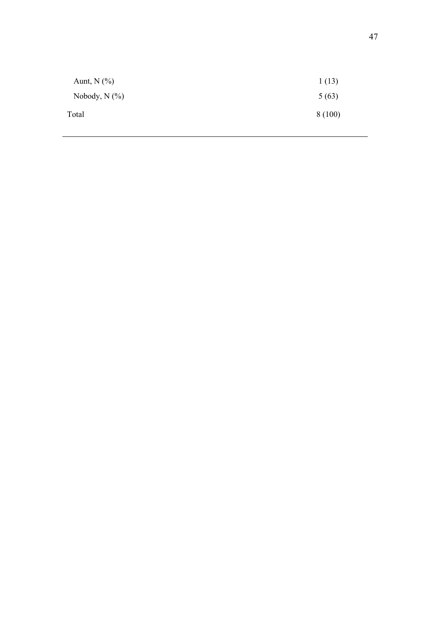| Aunt, $N$ $(\%)$   | 1(13)  |
|--------------------|--------|
| Nobody, $N$ $(\%)$ | 5(63)  |
| Total              | 8(100) |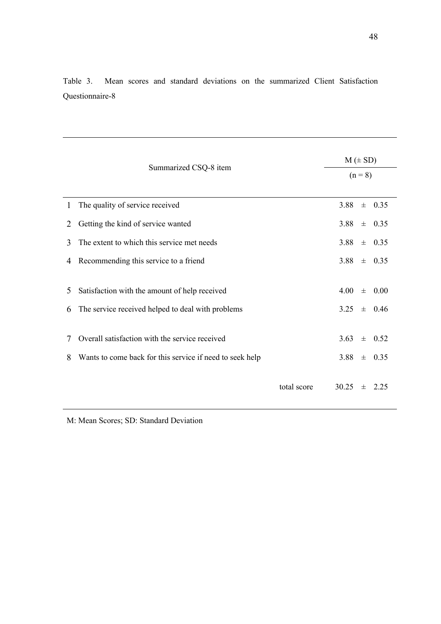|        |                                                                                                            | $M (\pm SD)$ |                                         |  |  |  |
|--------|------------------------------------------------------------------------------------------------------------|--------------|-----------------------------------------|--|--|--|
|        | Summarized CSQ-8 item                                                                                      |              | $(n = 8)$                               |  |  |  |
| 1      | The quality of service received                                                                            |              | 3.88<br>$\pm$ 0.35                      |  |  |  |
| 2      | Getting the kind of service wanted                                                                         |              | 3.88<br>士<br>0.35                       |  |  |  |
| 3      | The extent to which this service met needs                                                                 |              | 3.88<br>0.35<br>$\pm$                   |  |  |  |
| 4      | Recommending this service to a friend                                                                      |              | 3.88<br>$\pm$ 0.35                      |  |  |  |
| 5<br>6 | Satisfaction with the amount of help received<br>The service received helped to deal with problems         |              | 4.00<br>0.00<br>士<br>3.25<br>$\pm$ 0.46 |  |  |  |
| 7<br>8 | Overall satisfaction with the service received<br>Wants to come back for this service if need to seek help |              | 3.63<br>0.52<br>士<br>3.88<br>$\pm$ 0.35 |  |  |  |
|        |                                                                                                            | total score  | 30.25<br>2.25<br>$+$                    |  |  |  |

Table 3. Mean scores and standard deviations on the summarized Client Satisfaction Questionnaire-8

M: Mean Scores; SD: Standard Deviation